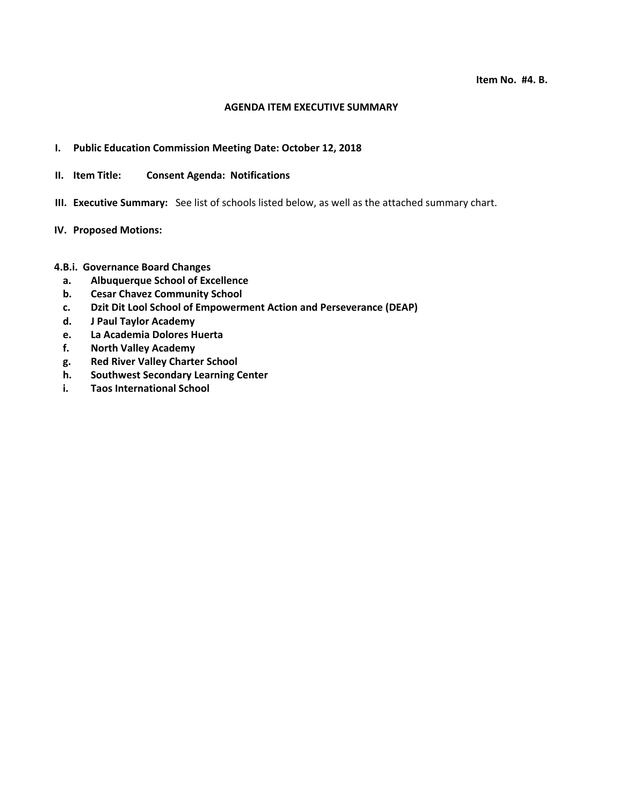#### **AGENDA ITEM EXECUTIVE SUMMARY**

- **I. Public Education Commission Meeting Date: October 12, 2018**
- **II. Item Title: Consent Agenda: Notifications**
- **III. Executive Summary:** See list of schools listed below, as well as the attached summary chart.
- **IV. Proposed Motions:**

### **4.B.i. Governance Board Changes**

- **a. Albuquerque School of Excellence**
- **b. Cesar Chavez Community School**
- **c. Dzit Dit Lool School of Empowerment Action and Perseverance (DEAP)**
- **d. J Paul Taylor Academy**
- **e. La Academia Dolores Huerta**
- **f. North Valley Academy**
- **g. Red River Valley Charter School**
- **h. Southwest Secondary Learning Center**
- **i. Taos International School**